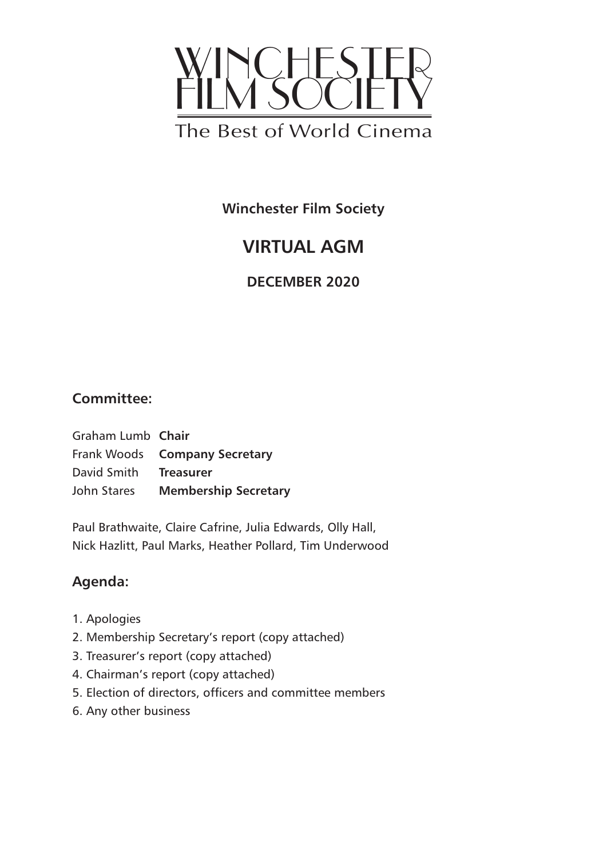

**Winchester Film Society**

# **VIRTUAL AGM**

**DECEMBER 2020**

## **Committee:**

Graham Lumb **Chair** Frank Woods **Company Secretary** David Smith **Treasurer** John Stares **Membership Secretary**

Paul Brathwaite, Claire Cafrine, Julia Edwards, Olly Hall, Nick Hazlitt, Paul Marks, Heather Pollard, Tim Underwood

## **Agenda:**

- 1. Apologies
- 2. Membership Secretary's report (copy attached)
- 3. Treasurer's report (copy attached)
- 4. Chairman's report (copy attached)
- 5. Election of directors, officers and committee members
- 6. Any other business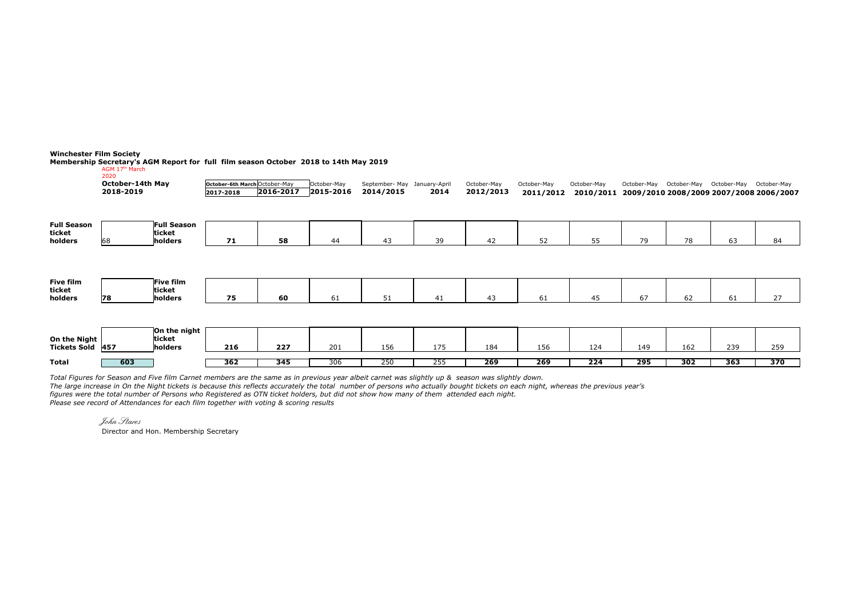**Winchester Film Society**

Membership Secretary's AGM Report for full film season October 2018 to 14th May 2019<br>AGM 17<sup>th</sup> March<br><sup>2020</sup>

|                                         | October-14th May |                                  | October-6th March October-May |           | October-May | September- May January-April |      | October-May | October-May | October-May |                  |     | October-May October-May October-May October-May |                                         |
|-----------------------------------------|------------------|----------------------------------|-------------------------------|-----------|-------------|------------------------------|------|-------------|-------------|-------------|------------------|-----|-------------------------------------------------|-----------------------------------------|
|                                         | 2018-2019        |                                  | 2017-2018                     | 2016-2017 | 2015-2016   | 2014/2015                    | 2014 | 2012/2013   | 2011/2012   | 2010/2011   |                  |     |                                                 | 2009/2010 2008/2009 2007/2008 2006/2007 |
|                                         |                  |                                  |                               |           |             |                              |      |             |             |             |                  |     |                                                 |                                         |
| <b>Full Season</b><br>ticket<br>holders | 168              | Full Season<br>ticket<br>holders | 71                            | 58        | 44          | 43                           | 39   | 42          | 52          | 55          | 79               | 78  | 63                                              | 84                                      |
|                                         |                  |                                  |                               |           |             |                              |      |             |             |             |                  |     |                                                 |                                         |
| Five film<br>ticket                     |                  | Five film<br>ticket              |                               |           |             |                              |      |             |             |             |                  |     |                                                 |                                         |
| holders                                 | 78               | holders                          | 75                            | 60        | 61          | 51                           | 41   | 43          | 61          | 45          | 67               | 62  | 61                                              | 27                                      |
|                                         |                  |                                  |                               |           |             |                              |      |             |             |             |                  |     |                                                 |                                         |
| On the Night                            |                  | On the night<br>ticket           |                               |           |             |                              |      |             |             |             |                  |     |                                                 |                                         |
| Tickets Sold 457                        |                  | holders                          | 216                           | 227       | 201         | 156                          | 175  | 184         | 156         | 124         | 149              | 162 | 239                                             | 259                                     |
| <b>Total</b>                            | 603              |                                  | 362                           | 345       | 306         | 250                          | 255  | 269         | 269         | 224         | $\overline{295}$ | 302 | 363                                             | 370                                     |

*Total Figures for Season and Five film Carnet members are the same as in previous year albeit carnet was slightly up & season was slightly down.* 

*The large increase in On the Night tickets is because this reflects accurately the total number of persons who actually bought tickets on each night, whereas the previous year's* 

*figures were the total number of Persons who Registered as OTN ticket holders, but did not show how many of them attended each night.*

*Please see record of Attendances for each film together with voting & scoring results*

John Stares

Director and Hon. Membership Secretary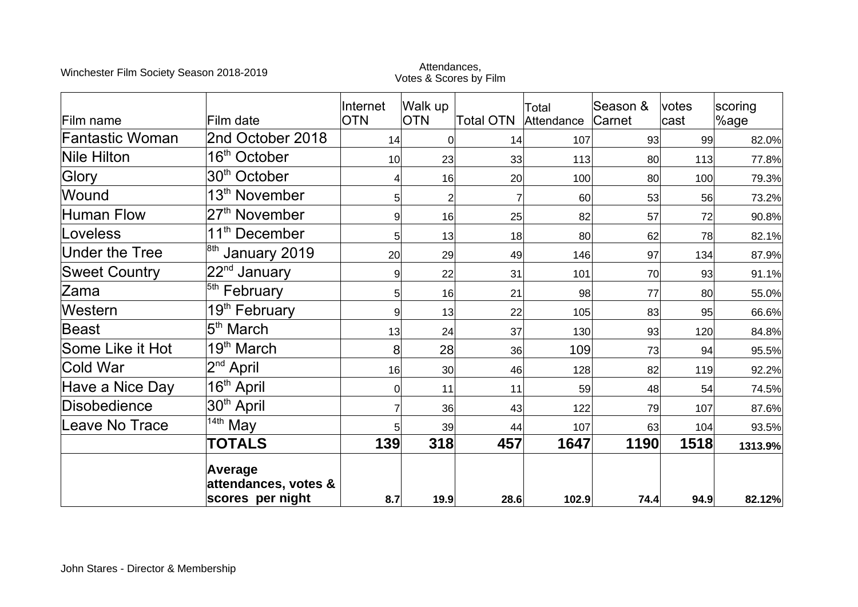# Winchester Film Society Season 2018-2019<br>Votes & Scores by Film

| Film name             | Film date                                           | Internet<br><b>OTN</b> | Walk up<br><b>OTN</b>            | <b>Total OTN</b> | Total<br>Attendance | Season &<br>Carnet | votes<br>cast | scoring<br>%age |
|-----------------------|-----------------------------------------------------|------------------------|----------------------------------|------------------|---------------------|--------------------|---------------|-----------------|
| Fantastic Woman       | 2nd October 2018                                    | 14                     | 0                                | 14               | 107                 | 93                 | 99            | 82.0%           |
| <b>Nile Hilton</b>    | 16 <sup>th</sup> October                            | 10                     | 23                               | 33               | 113                 | 80                 | 113           | 77.8%           |
| Glory                 | 30 <sup>th</sup> October                            |                        | 16                               | 20 <sup>2</sup>  | 100                 | 80                 | 100           | 79.3%           |
| Wound                 | 13 <sup>th</sup> November                           |                        | $\overline{2}$<br>5 <sup>1</sup> |                  | 60                  | 53                 | 56            | 73.2%           |
| <b>Human Flow</b>     | 27 <sup>th</sup> November                           |                        | 9<br>16                          | 25               | 82                  | 57                 | 72            | 90.8%           |
| Loveless              | 11 <sup>th</sup> December                           |                        | 13<br>5                          | 18               | 80 <sup>°</sup>     | 62                 | 78            | 82.1%           |
| <b>Under the Tree</b> | $\frac{8th}{10}$ January 2019                       | 20                     | 29                               | 49               | 146                 | 97                 | 134           | 87.9%           |
| <b>Sweet Country</b>  | 22 <sup>nd</sup> January                            |                        | 22<br>9                          | 31               | 101                 | 70                 | 93            | 91.1%           |
| lZama                 | <sup>5th</sup> February                             |                        | 5 <sup>1</sup><br>16             | 21               | 98                  | 77                 | 80            | 55.0%           |
| Western               | 19 <sup>th</sup> February                           |                        | 13<br>9                          | 22               | 105                 | 83                 | 95            | 66.6%           |
| Beast                 | 5 <sup>th</sup> March                               | 13                     | 24                               | 37               | 130                 | 93                 | 120           | 84.8%           |
| Some Like it Hot      | 19 <sup>th</sup> March                              | 8                      | 28                               | 36               | 109                 | 73                 | 94            | 95.5%           |
| <b>Cold War</b>       | 2 <sup>nd</sup> April                               | 16                     | 30 <sup>2</sup>                  | 46               | 128                 | 82                 | 119           | 92.2%           |
| Have a Nice Day       | 16 <sup>th</sup> April                              |                        | 11<br> 0                         | 11               | 59                  | 48                 | 54            | 74.5%           |
| Disobedience          | 30 <sup>th</sup> April                              |                        | 36                               | 43               | 122                 | 79                 | 107           | 87.6%           |
| Leave No Trace        | $14th$ May                                          |                        | 39<br>5                          | 44               | 107                 | 63                 | 104           | 93.5%           |
|                       | <b>TOTALS</b>                                       | 139                    | 318                              | 457              | 1647                | 1190               | 1518          | 1313.9%         |
|                       | Average<br>attendances, votes &<br>scores per night | 8.7                    | 19.9                             | 28.6             | 102.9               | 74.4               | 94.9          | 82.12%          |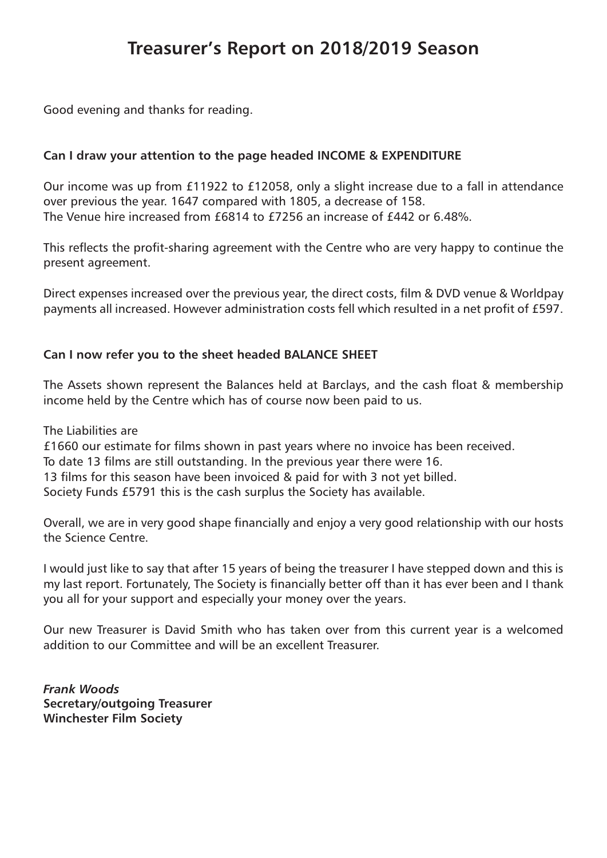## **Treasurer's Report on 2018/2019 Season**

Good evening and thanks for reading.

#### **Can I draw your attention to the page headed INCOME & EXPENDITURE**

Our income was up from £11922 to £12058, only a slight increase due to a fall in attendance over previous the year. 1647 compared with 1805, a decrease of 158. The Venue hire increased from £6814 to £7256 an increase of £442 or 6.48%.

This reflects the profit-sharing agreement with the Centre who are very happy to continue the present agreement.

Direct expenses increased over the previous year, the direct costs, film & DVD venue & Worldpay payments all increased. However administration costs fell which resulted in a net profit of £597.

#### **Can I now refer you to the sheet headed BALANCE SHEET**

The Assets shown represent the Balances held at Barclays, and the cash float & membership income held by the Centre which has of course now been paid to us.

The Liabilities are

£1660 our estimate for films shown in past years where no invoice has been received.

To date 13 films are still outstanding. In the previous year there were 16.

13 films for this season have been invoiced & paid for with 3 not yet billed.

Society Funds £5791 this is the cash surplus the Society has available.

Overall, we are in very good shape financially and enjoy a very good relationship with our hosts the Science Centre.

I would just like to say that after 15 years of being the treasurer I have stepped down and this is my last report. Fortunately, The Society is financially better off than it has ever been and I thank you all for your support and especially your money over the years.

Our new Treasurer is David Smith who has taken over from this current year is a welcomed addition to our Committee and will be an excellent Treasurer.

*Frank Woods* **Secretary/outgoing Treasurer Winchester Film Society**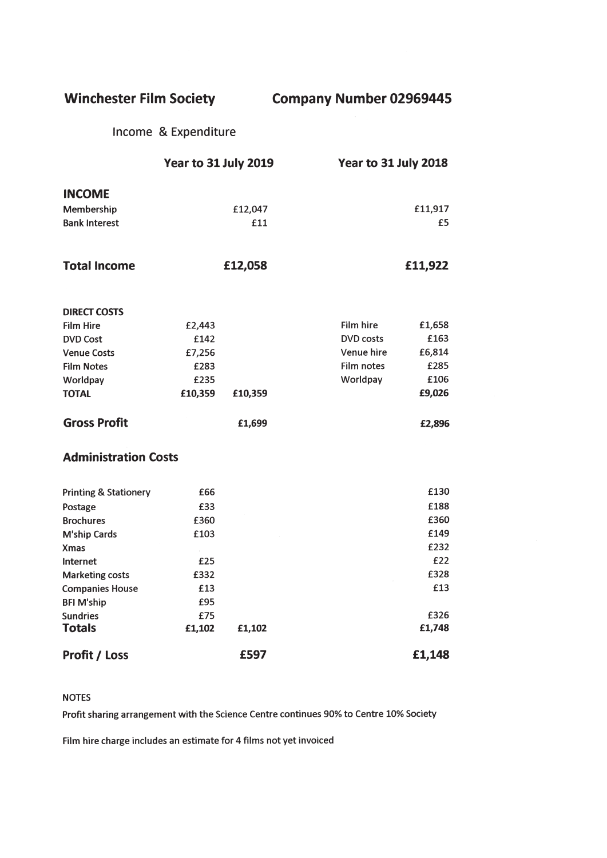**Winchester Film Society** 

**Company Number 02969445** 

Income & Expenditure

|                                  | Year to 31 July 2019 |         | Year to 31 July 2018 |         |  |  |
|----------------------------------|----------------------|---------|----------------------|---------|--|--|
| <b>INCOME</b>                    |                      |         |                      |         |  |  |
| Membership                       |                      | £12,047 |                      | £11,917 |  |  |
| <b>Bank Interest</b>             |                      | £11     |                      | £5      |  |  |
|                                  |                      |         |                      |         |  |  |
| <b>Total Income</b>              |                      | £12,058 |                      | £11,922 |  |  |
| <b>DIRECT COSTS</b>              |                      |         |                      |         |  |  |
| <b>Film Hire</b>                 | £2,443               |         | Film hire            | £1,658  |  |  |
| <b>DVD Cost</b>                  | £142                 |         | <b>DVD</b> costs     | £163    |  |  |
| <b>Venue Costs</b>               | £7,256               |         | Venue hire           | £6,814  |  |  |
| <b>Film Notes</b>                | £283                 |         | Film notes           | £285    |  |  |
| Worldpay                         | £235                 |         | Worldpay             | £106    |  |  |
| <b>TOTAL</b>                     | £10,359              | £10,359 |                      | £9,026  |  |  |
| <b>Gross Profit</b>              |                      | £1,699  |                      | £2,896  |  |  |
| <b>Administration Costs</b>      |                      |         |                      |         |  |  |
| <b>Printing &amp; Stationery</b> | £66                  |         |                      | £130    |  |  |
| Postage                          | £33                  |         |                      | £188    |  |  |
| <b>Brochures</b>                 | £360                 |         |                      | £360    |  |  |
| <b>M'ship Cards</b>              | £103                 |         |                      | £149    |  |  |
| <b>Xmas</b>                      |                      |         |                      | £232    |  |  |
| Internet                         | £25                  |         |                      | £22     |  |  |
| <b>Marketing costs</b>           | £332                 |         |                      | £328    |  |  |
| <b>Companies House</b>           | £13                  |         |                      | £13     |  |  |
| <b>BFI M'ship</b>                | £95                  |         |                      |         |  |  |
| <b>Sundries</b>                  | £75                  |         |                      | £326    |  |  |
| <b>Totals</b>                    | £1,102               | £1,102  |                      | £1,748  |  |  |
| <b>Profit / Loss</b>             |                      | £597    |                      | £1,148  |  |  |

#### **NOTES**

Profit sharing arrangement with the Science Centre continues 90% to Centre 10% Society

Film hire charge includes an estimate for 4 films not yet invoiced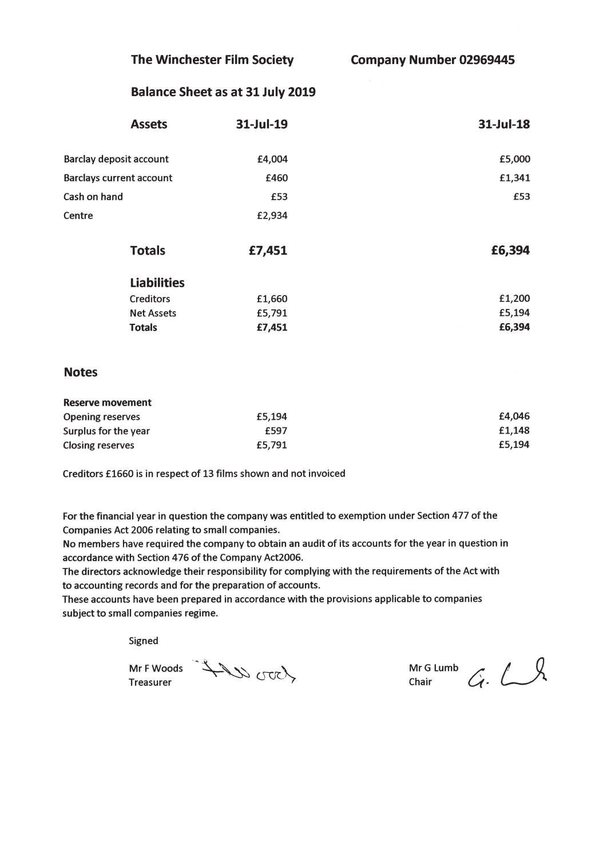The Winchester Film Society

**Company Number 02969445** 

#### **Balance Sheet as at 31 July 2019**

| <b>Assets</b>                   | 31-Jul-19 | 31-Jul-18 |
|---------------------------------|-----------|-----------|
| <b>Barclay deposit account</b>  | £4,004    | £5,000    |
| <b>Barclays current account</b> | £460      | £1,341    |
| Cash on hand                    | £53       | £53       |
| Centre                          | £2,934    |           |
| <b>Totals</b>                   | £7,451    | £6,394    |
| <b>Liabilities</b>              |           |           |
| <b>Creditors</b>                | £1,660    | £1,200    |
| <b>Net Assets</b>               | £5,791    | £5,194    |
| <b>Totals</b>                   | £7,451    | £6,394    |

#### **Notes**

| Reserve movement        |        |        |
|-------------------------|--------|--------|
| <b>Opening reserves</b> | £5.194 | £4.046 |
| Surplus for the year    | £597   | £1.148 |
| <b>Closing reserves</b> | £5,791 | £5.194 |

Creditors £1660 is in respect of 13 films shown and not invoiced

For the financial year in question the company was entitled to exemption under Section 477 of the Companies Act 2006 relating to small companies.

No members have required the company to obtain an audit of its accounts for the year in question in accordance with Section 476 of the Company Act2006.

The directors acknowledge their responsibility for complying with the requirements of the Act with to accounting records and for the preparation of accounts.

These accounts have been prepared in accordance with the provisions applicable to companies subject to small companies regime.

Signed

Treasurer

MrFWoods AV UTCY

Mr G Lumb  $G. \cup$